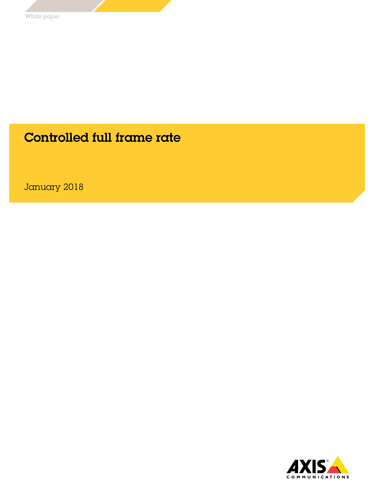### Controlled full frame rate

January 2018

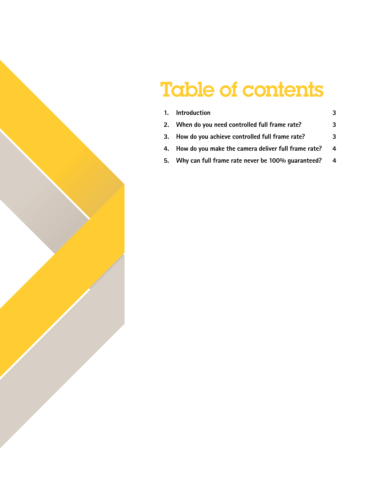# Table of contents

| 1. Introduction                                        |   |
|--------------------------------------------------------|---|
| 2. When do you need controlled full frame rate?        | 3 |
| 3. How do you achieve controlled full frame rate?      | 3 |
| 4. How do you make the camera deliver full frame rate? | 4 |
| 5. Why can full frame rate never be 100% quaranteed?   | 4 |
|                                                        |   |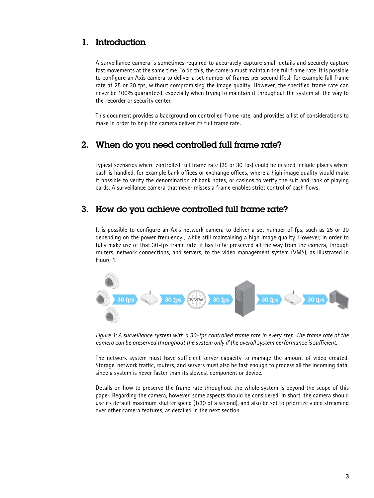#### 1. Introduction

A surveillance camera is sometimes required to accurately capture small details and securely capture fast movements at the same time. To do this, the camera must maintain the full frame rate. It is possible to configure an Axis camera to deliver a set number of frames per second (fps), for example full frame rate at 25 or 30 fps, without compromising the image quality. However, the specified frame rate can never be 100% guaranteed, especially when trying to maintain it throughout the system all the way to the recorder or security center.

This document provides a background on controlled frame rate, and provides a list of considerations to make in order to help the camera deliver its full frame rate.

#### 2. When do you need controlled full frame rate?

Typical scenarios where controlled full frame rate (25 or 30 fps) could be desired include places where cash is handled, for example bank offices or exchange offices, where a high image quality would make it possible to verify the denomination of bank notes, or casinos to verify the suit and rank of playing cards. A surveillance camera that never misses a frame enables strict control of cash flows.

#### 3. How do you achieve controlled full frame rate?

It is possible to configure an Axis network camera to deliver a set number of fps, such as 25 or 30 depending on the power frequency , while still maintaining a high image quality. However, in order to fully make use of that 30-fps frame rate, it has to be preserved all the way from the camera, through routers, network connections, and servers, to the video management system (VMS), as illustrated in Figure 1.



*Figure 1: A surveillance system with a 30-fps controlled frame rate in every step. The frame rate of the camera can be preserved throughout the system only if the overall system performance is sufficient.* 

The network system must have sufficient server capacity to manage the amount of video created. Storage, network traffic, routers, and servers must also be fast enough to process all the incoming data, since a system is never faster than its slowest component or device.

Details on how to preserve the frame rate throughout the whole system is beyond the scope of this paper. Regarding the camera, however, some aspects should be considered. In short, the camera should use its default maximum shutter speed (1/30 of a second), and also be set to prioritize video streaming over other camera features, as detailed in the next section.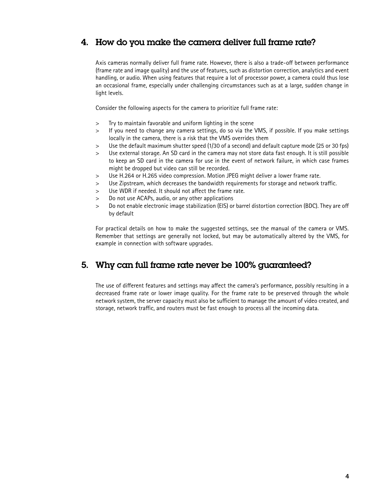#### 4. How do you make the camera deliver full frame rate?

Axis cameras normally deliver full frame rate. However, there is also a trade-off between performance (frame rate and image quality) and the use of features, such as distortion correction, analytics and event handling, or audio. When using features that require a lot of processor power, a camera could thus lose an occasional frame, especially under challenging circumstances such as at a large, sudden change in light levels.

Consider the following aspects for the camera to prioritize full frame rate:

- > Try to maintain favorable and uniform lighting in the scene
- > If you need to change any camera settings, do so via the VMS, if possible. If you make settings locally in the camera, there is a risk that the VMS overrides them
- > Use the default maximum shutter speed (1/30 of a second) and default capture mode (25 or 30 fps)
- > Use external storage. An SD card in the camera may not store data fast enough. It is still possible to keep an SD card in the camera for use in the event of network failure, in which case frames might be dropped but video can still be recorded.
- > Use H.264 or H.265 video compression. Motion JPEG might deliver a lower frame rate.
- > Use Zipstream, which decreases the bandwidth requirements for storage and network traffic.
- > Use WDR if needed. It should not affect the frame rate.
- > Do not use ACAPs, audio, or any other applications
- > Do not enable electronic image stabilization (EIS) or barrel distortion correction (BDC). They are off by default

For practical details on how to make the suggested settings, see the manual of the camera or VMS. Remember that settings are generally not locked, but may be automatically altered by the VMS, for example in connection with software upgrades.

#### 5. Why can full frame rate never be 100% guaranteed?

The use of different features and settings may affect the camera's performance, possibly resulting in a decreased frame rate or lower image quality. For the frame rate to be preserved through the whole network system, the server capacity must also be sufficient to manage the amount of video created, and storage, network traffic, and routers must be fast enough to process all the incoming data.